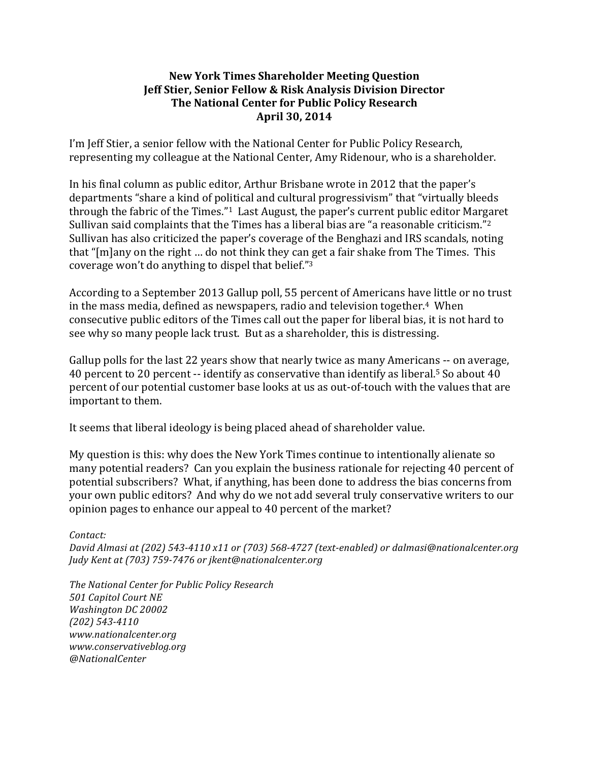## **New York Times Shareholder Meeting Question Jeff Stier, Senior Fellow & Risk Analysis Division Director The National Center for Public Policy Research April 30, 2014**

I'm Jeff Stier, a senior fellow with the National Center for Public Policy Research, representing my colleague at the National Center, Amy Ridenour, who is a shareholder.

In his final column as public editor, Arthur Brisbane wrote in 2012 that the paper's departments "share a kind of political and cultural progressivism" that "virtually bleeds through the fabric of the Times." $1$  Last August, the paper's current public editor Margaret Sullivan said complaints that the Times has a liberal bias are "a reasonable criticism."<sup>2</sup> Sullivan has also criticized the paper's coverage of the Benghazi and IRS scandals, noting that " $[m]$ any on the right ... do not think they can get a fair shake from The Times. This coverage won't do anything to dispel that belief." $3$ 

According to a September 2013 Gallup poll, 55 percent of Americans have little or no trust in the mass media, defined as newspapers, radio and television together.<sup>4</sup> When consecutive public editors of the Times call out the paper for liberal bias, it is not hard to see why so many people lack trust. But as a shareholder, this is distressing.

Gallup polls for the last 22 years show that nearly twice as many Americans -- on average, 40 percent to 20 percent  $-$  identify as conservative than identify as liberal.<sup>5</sup> So about 40 percent of our potential customer base looks at us as out-of-touch with the values that are important to them.

It seems that liberal ideology is being placed ahead of shareholder value.

My question is this: why does the New York Times continue to intentionally alienate so many potential readers? Can you explain the business rationale for rejecting 40 percent of potential subscribers? What, if anything, has been done to address the bias concerns from your own public editors? And why do we not add several truly conservative writers to our opinion pages to enhance our appeal to 40 percent of the market?

*Contact: David Almasi at (202)* 543-4110 x11 or (703) 568-4727 (text-enabled) or dalmasi@nationalcenter.org *Judy Kent at (703) 759-7476 or jkent@nationalcenter.org*

*The National Center for Public Policy Research 501 Capitol Court NE Washington DC 20002 (202) 543-4110 www.nationalcenter.org www.conservativeblog.org @NationalCenter*